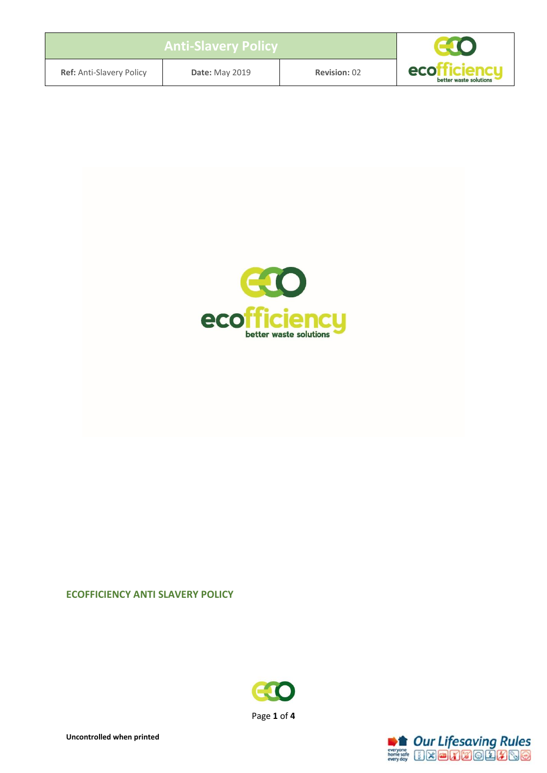| <b>Anti-Slavery Policy</b>      |                       |                     |                                                     |
|---------------------------------|-----------------------|---------------------|-----------------------------------------------------|
| <b>Ref:</b> Anti-Slavery Policy | <b>Date: May 2019</b> | <b>Revision: 02</b> | eco <sup>r</sup><br>denal<br>better waste solutions |



#### **ECOFFICIENCY ANTI SLAVERY POLICY**



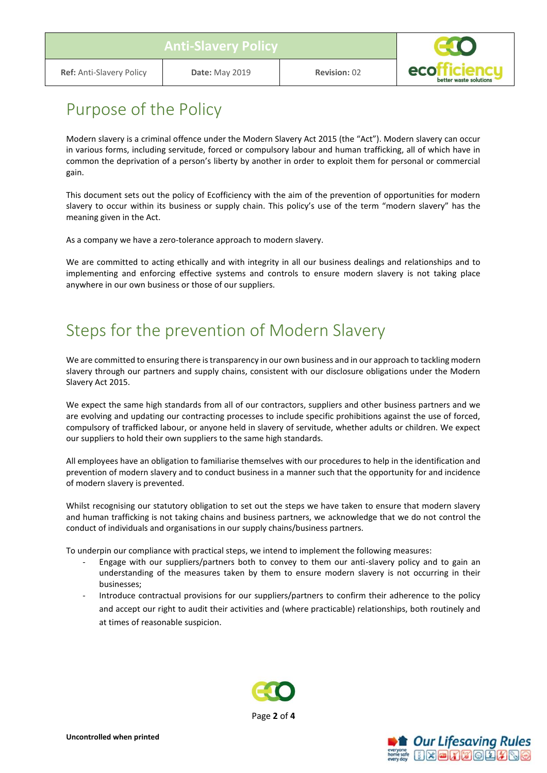

#### Purpose of the Policy

Modern slavery is a criminal offence under the Modern Slavery Act 2015 (the "Act"). Modern slavery can occur in various forms, including servitude, forced or compulsory labour and human trafficking, all of which have in common the deprivation of a person's liberty by another in order to exploit them for personal or commercial gain.

This document sets out the policy of Ecofficiency with the aim of the prevention of opportunities for modern slavery to occur within its business or supply chain. This policy's use of the term "modern slavery" has the meaning given in the Act.

As a company we have a zero-tolerance approach to modern slavery.

We are committed to acting ethically and with integrity in all our business dealings and relationships and to implementing and enforcing effective systems and controls to ensure modern slavery is not taking place anywhere in our own business or those of our suppliers.

# Steps for the prevention of Modern Slavery

We are committed to ensuring there is transparency in our own business and in our approach to tackling modern slavery through our partners and supply chains, consistent with our disclosure obligations under the Modern Slavery Act 2015.

We expect the same high standards from all of our contractors, suppliers and other business partners and we are evolving and updating our contracting processes to include specific prohibitions against the use of forced, compulsory of trafficked labour, or anyone held in slavery of servitude, whether adults or children. We expect our suppliers to hold their own suppliers to the same high standards.

All employees have an obligation to familiarise themselves with our procedures to help in the identification and prevention of modern slavery and to conduct business in a manner such that the opportunity for and incidence of modern slavery is prevented.

Whilst recognising our statutory obligation to set out the steps we have taken to ensure that modern slavery and human trafficking is not taking chains and business partners, we acknowledge that we do not control the conduct of individuals and organisations in our supply chains/business partners.

To underpin our compliance with practical steps, we intend to implement the following measures:

- Engage with our suppliers/partners both to convey to them our anti-slavery policy and to gain an understanding of the measures taken by them to ensure modern slavery is not occurring in their businesses;
- Introduce contractual provisions for our suppliers/partners to confirm their adherence to the policy and accept our right to audit their activities and (where practicable) relationships, both routinely and at times of reasonable suspicion.



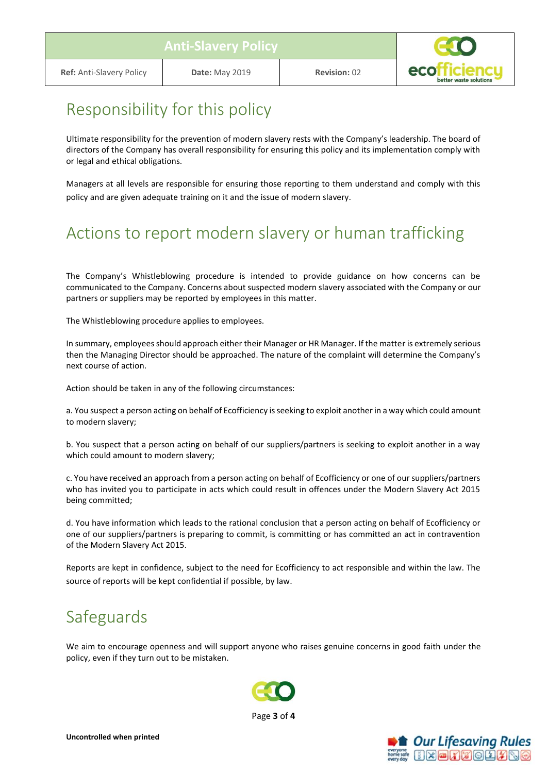

# Responsibility for this policy

Ultimate responsibility for the prevention of modern slavery rests with the Company's leadership. The board of directors of the Company has overall responsibility for ensuring this policy and its implementation comply with or legal and ethical obligations.

Managers at all levels are responsible for ensuring those reporting to them understand and comply with this policy and are given adequate training on it and the issue of modern slavery.

# Actions to report modern slavery or human trafficking

The Company's Whistleblowing procedure is intended to provide guidance on how concerns can be communicated to the Company. Concerns about suspected modern slavery associated with the Company or our partners or suppliers may be reported by employees in this matter.

The Whistleblowing procedure applies to employees.

In summary, employees should approach either their Manager or HR Manager. If the matter is extremely serious then the Managing Director should be approached. The nature of the complaint will determine the Company's next course of action.

Action should be taken in any of the following circumstances:

a. You suspect a person acting on behalf of Ecofficiency is seeking to exploit another in a way which could amount to modern slavery;

b. You suspect that a person acting on behalf of our suppliers/partners is seeking to exploit another in a way which could amount to modern slavery;

c. You have received an approach from a person acting on behalf of Ecofficiency or one of our suppliers/partners who has invited you to participate in acts which could result in offences under the Modern Slavery Act 2015 being committed;

d. You have information which leads to the rational conclusion that a person acting on behalf of Ecofficiency or one of our suppliers/partners is preparing to commit, is committing or has committed an act in contravention of the Modern Slavery Act 2015.

Reports are kept in confidence, subject to the need for Ecofficiency to act responsible and within the law. The source of reports will be kept confidential if possible, by law.

# Safeguards

We aim to encourage openness and will support anyone who raises genuine concerns in good faith under the policy, even if they turn out to be mistaken.



Page **3** of **4**